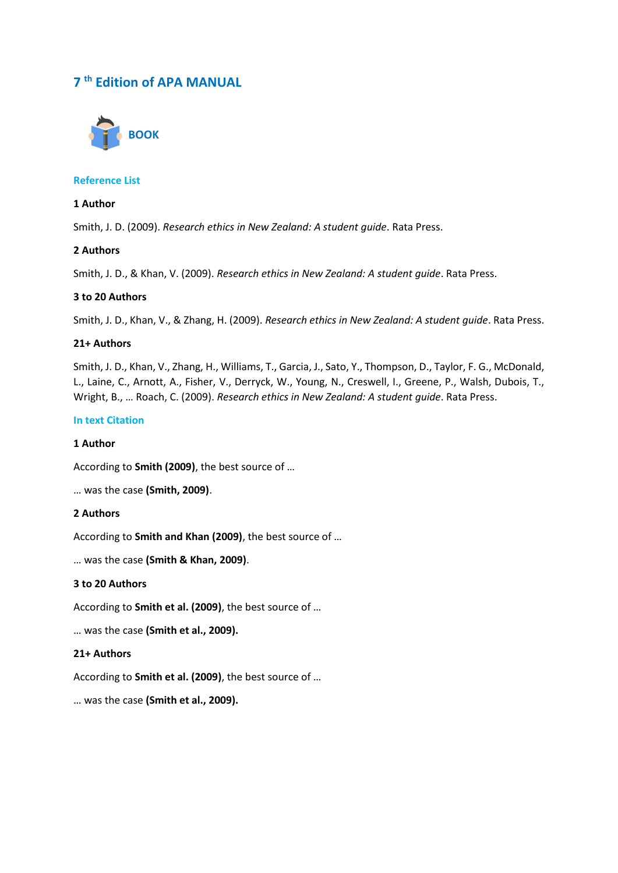# **7 th Edition of APA MANUAL**



# **Reference List**

# **1 Author**

Smith, J. D. (2009). *Research ethics in New Zealand: A student guide*. Rata Press.

# **2 Authors**

Smith, J. D., & Khan, V. (2009). *Research ethics in New Zealand: A student guide*. Rata Press.

# **3 to 20 Authors**

Smith, J. D., Khan, V., & Zhang, H. (2009). *Research ethics in New Zealand: A student guide*. Rata Press.

# **21+ Authors**

Smith, J. D., Khan, V., Zhang, H., Williams, T., Garcia, J., Sato, Y., Thompson, D., Taylor, F. G., McDonald, L., Laine, C., Arnott, A., Fisher, V., Derryck, W., Young, N., Creswell, I., Greene, P., Walsh, Dubois, T., Wright, B., … Roach, C. (2009). *Research ethics in New Zealand: A student guide*. Rata Press.

# **In text Citation**

# **1 Author**

According to **Smith (2009)**, the best source of …

… was the case **(Smith, 2009)**.

#### **2 Authors**

According to **Smith and Khan (2009)**, the best source of …

… was the case **(Smith & Khan, 2009)**.

# **3 to 20 Authors**

According to **Smith et al. (2009)**, the best source of …

… was the case **(Smith et al., 2009).**

# **21+ Authors**

According to **Smith et al. (2009)**, the best source of …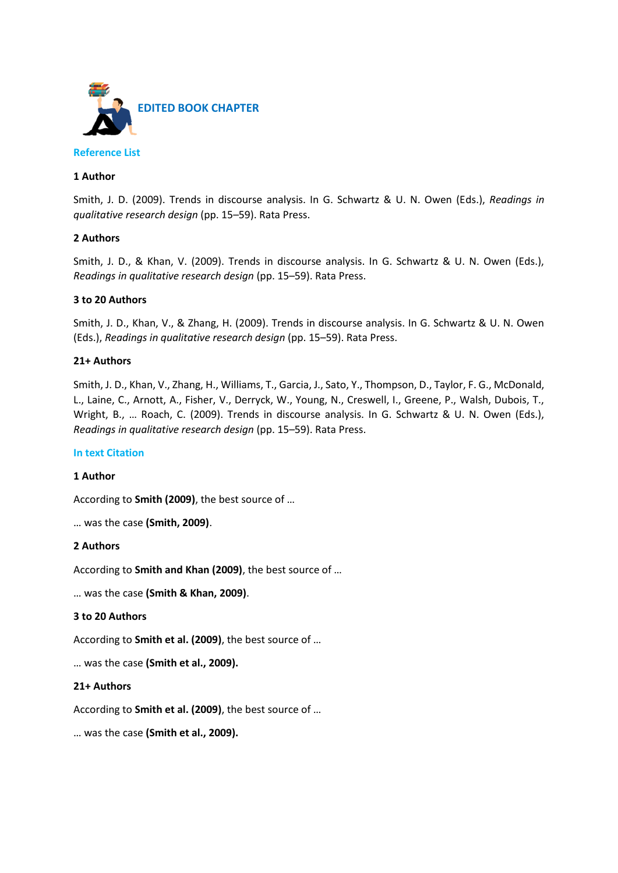

# **1 Author**

Smith, J. D. (2009). Trends in discourse analysis. In G. Schwartz & U. N. Owen (Eds.), *Readings in qualitative research design* (pp. 15–59). Rata Press.

# **2 Authors**

Smith, J. D., & Khan, V. (2009). Trends in discourse analysis. In G. Schwartz & U. N. Owen (Eds.), *Readings in qualitative research design* (pp. 15–59). Rata Press.

# **3 to 20 Authors**

Smith, J. D., Khan, V., & Zhang, H. (2009). Trends in discourse analysis. In G. Schwartz & U. N. Owen (Eds.), *Readings in qualitative research design* (pp. 15–59). Rata Press.

# **21+ Authors**

Smith, J. D., Khan, V., Zhang, H., Williams, T., Garcia, J., Sato, Y., Thompson, D., Taylor, F. G., McDonald, L., Laine, C., Arnott, A., Fisher, V., Derryck, W., Young, N., Creswell, I., Greene, P., Walsh, Dubois, T., Wright, B., … Roach, C. (2009). Trends in discourse analysis. In G. Schwartz & U. N. Owen (Eds.), *Readings in qualitative research design* (pp. 15–59). Rata Press.

# **In text Citation**

# **1 Author**

According to **Smith (2009)**, the best source of …

… was the case **(Smith, 2009)**.

#### **2 Authors**

According to **Smith and Khan (2009)**, the best source of …

… was the case **(Smith & Khan, 2009)**.

#### **3 to 20 Authors**

According to **Smith et al. (2009)**, the best source of …

… was the case **(Smith et al., 2009).**

#### **21+ Authors**

According to **Smith et al. (2009)**, the best source of …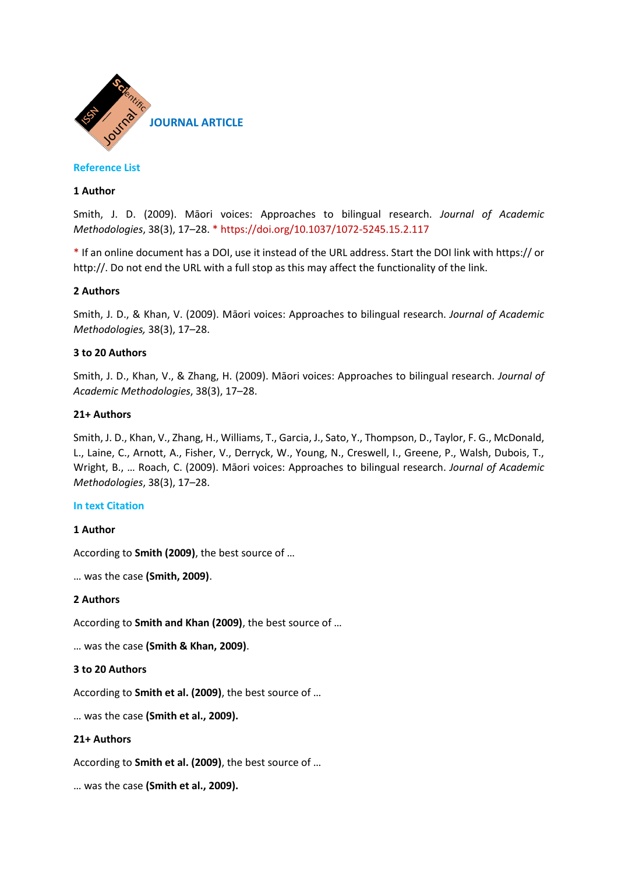

# **1 Author**

Smith, J. D. (2009). Māori voices: Approaches to bilingual research. *Journal of Academic Methodologies*, 38(3), 17–28. \* https://doi.org/10.1037/1072-5245.15.2.117

\* If an online document has a DOI, use it instead of the URL address. Start the DOI link with https:// or http://. Do not end the URL with a full stop as this may affect the functionality of the link.

# **2 Authors**

Smith, J. D., & Khan, V. (2009). Māori voices: Approaches to bilingual research. *Journal of Academic Methodologies,* 38(3), 17–28.

# **3 to 20 Authors**

Smith, J. D., Khan, V., & Zhang, H. (2009). Māori voices: Approaches to bilingual research. *Journal of Academic Methodologies*, 38(3), 17–28.

### **21+ Authors**

Smith, J. D., Khan, V., Zhang, H., Williams, T., Garcia, J., Sato, Y., Thompson, D., Taylor, F. G., McDonald, L., Laine, C., Arnott, A., Fisher, V., Derryck, W., Young, N., Creswell, I., Greene, P., Walsh, Dubois, T., Wright, B., … Roach, C. (2009). Māori voices: Approaches to bilingual research. *Journal of Academic Methodologies*, 38(3), 17–28.

#### **In text Citation**

#### **1 Author**

According to **Smith (2009)**, the best source of …

… was the case **(Smith, 2009)**.

### **2 Authors**

According to **Smith and Khan (2009)**, the best source of …

… was the case **(Smith & Khan, 2009)**.

#### **3 to 20 Authors**

According to **Smith et al. (2009)**, the best source of …

… was the case **(Smith et al., 2009).**

# **21+ Authors**

According to **Smith et al. (2009)**, the best source of …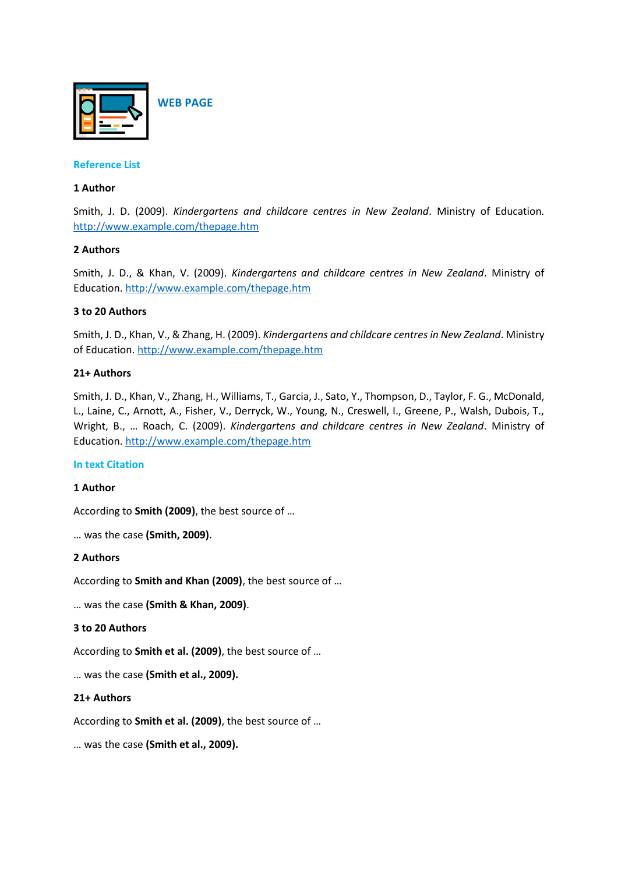

# **1 Author**

Smith, J. D. (2009). *Kindergartens and childcare centres in New Zealand*. Ministry of Education. <http://www.example.com/thepage.htm>

# **2 Authors**

Smith, J. D., & Khan, V. (2009). *Kindergartens and childcare centres in New Zealand*. Ministry of Education[. http://www.example.com/thepage.htm](http://www.example.com/thepage.htm)

# **3 to 20 Authors**

Smith, J. D., Khan, V., & Zhang, H. (2009). *Kindergartens and childcare centres in New Zealand*. Ministry of Education.<http://www.example.com/thepage.htm>

# **21+ Authors**

Smith, J. D., Khan, V., Zhang, H., Williams, T., Garcia, J., Sato, Y., Thompson, D., Taylor, F. G., McDonald, L., Laine, C., Arnott, A., Fisher, V., Derryck, W., Young, N., Creswell, I., Greene, P., Walsh, Dubois, T., Wright, B., … Roach, C. (2009). *Kindergartens and childcare centres in New Zealand*. Ministry of Education[. http://www.example.com/thepage.htm](http://www.example.com/thepage.htm)

#### **In text Citation**

#### **1 Author**

According to **Smith (2009)**, the best source of …

… was the case **(Smith, 2009)**.

#### **2 Authors**

According to **Smith and Khan (2009)**, the best source of …

… was the case **(Smith & Khan, 2009)**.

# **3 to 20 Authors**

According to **Smith et al. (2009)**, the best source of …

… was the case **(Smith et al., 2009).**

#### **21+ Authors**

According to **Smith et al. (2009)**, the best source of …